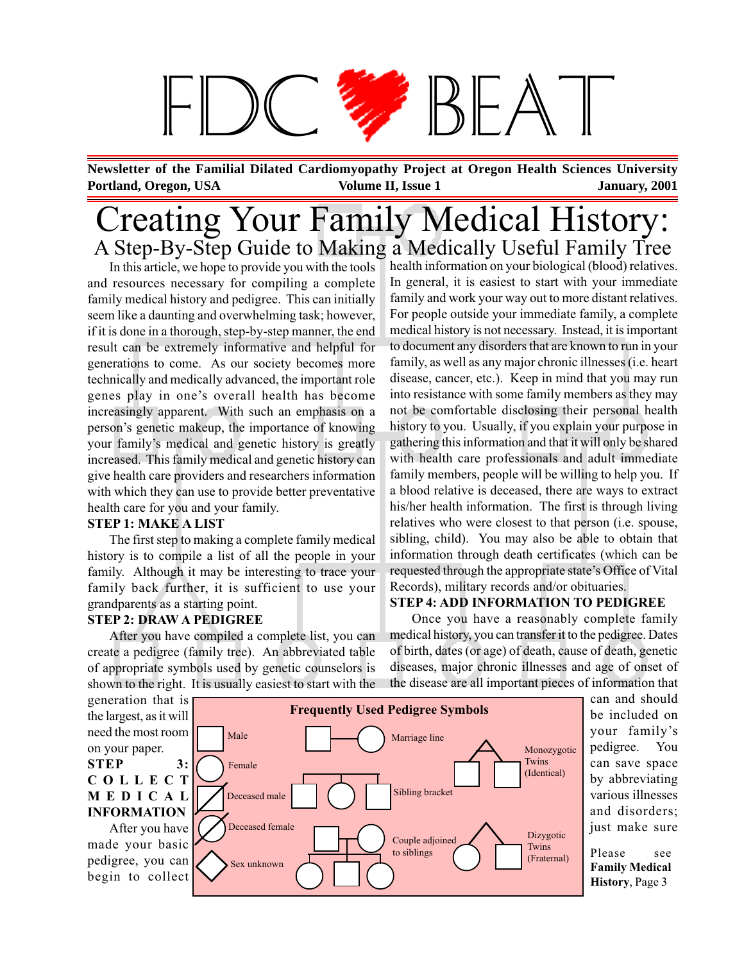# $R \not\models A$

**Portland, Oregon, USA January, 2001 Volume II, Issue 1 Newsletter of the Familial Dilated Cardiomyopathy Project at Oregon Health Sciences University**

### Creating Your Family Medical History: A Step-By-Step Guide to Making a Medically Useful Family Tree

In this article, we hope to provide you with the tools and resources necessary for compiling a complete family medical history and pedigree. This can initially seem like a daunting and overwhelming task; however, if it is done in a thorough, step-by-step manner, the end result can be extremely informative and helpful for generations to come. As our society becomes more technically and medically advanced, the important role genes play in one's overall health has become increasingly apparent. With such an emphasis on a person's genetic makeup, the importance of knowing your family's medical and genetic history is greatly increased. This family medical and genetic history can give health care providers and researchers information with which they can use to provide better preventative health care for you and your family.

#### **STEP 1: MAKE A LIST**

The first step to making a complete family medical history is to compile a list of all the people in your family. Although it may be interesting to trace your family back further, it is sufficient to use your grandparents as a starting point.

#### **STEP 2: DRAW A PEDIGREE**

After you have compiled a complete list, you can create a pedigree (family tree). An abbreviated table of appropriate symbols used by genetic counselors is shown to the right. It is usually easiest to start with the

health information on your biological (blood) relatives. In general, it is easiest to start with your immediate family and work your way out to more distant relatives. For people outside your immediate family, a complete medical history is not necessary. Instead, it is important to document any disorders that are known to run in your family, as well as any major chronic illnesses (i.e. heart disease, cancer, etc.). Keep in mind that you may run into resistance with some family members as they may not be comfortable disclosing their personal health history to you. Usually, if you explain your purpose in gathering this information and that it will only be shared with health care professionals and adult immediate family members, people will be willing to help you. If a blood relative is deceased, there are ways to extract his/her health information. The first is through living relatives who were closest to that person (i.e. spouse, sibling, child). You may also be able to obtain that information through death certificates (which can be requested through the appropriate state's Office of Vital Records), military records and/or obituaries.

#### **STEP 4: ADD INFORMATION TO PEDIGREE**

Once you have a reasonably complete family medical history, you can transfer it to the pedigree. Dates of birth, dates (or age) of death, cause of death, genetic diseases, major chronic illnesses and age of onset of the disease are all important pieces of information that

the largest, as it will need the most room on your paper. **STEP 3: COLLECT MEDICAL INFORMATION**

After you have made your basic pedigree, you can begin to collect



can and should be included on your family's pedigree. You can save space by abbreviating various illnesses and disorders; just make sure

(Fraternal) Please see **Family Medical History**, Page 3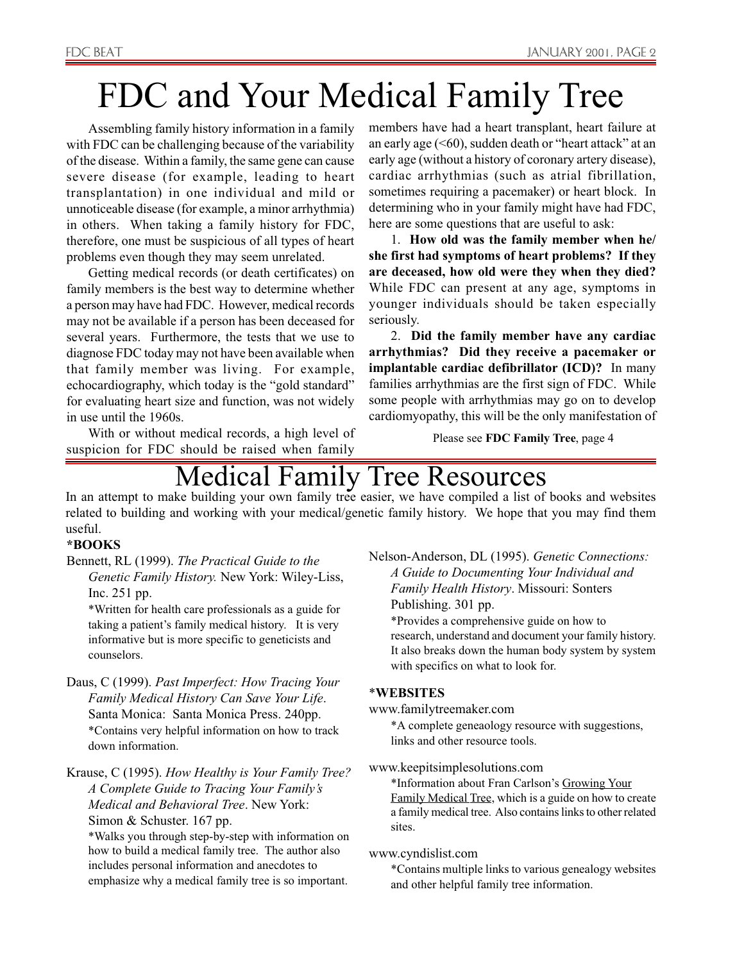# FDC and Your Medical Family Tree

Assembling family history information in a family with FDC can be challenging because of the variability of the disease. Within a family, the same gene can cause severe disease (for example, leading to heart transplantation) in one individual and mild or unnoticeable disease (for example, a minor arrhythmia) in others. When taking a family history for FDC, therefore, one must be suspicious of all types of heart problems even though they may seem unrelated.

Getting medical records (or death certificates) on family members is the best way to determine whether a person may have had FDC. However, medical records may not be available if a person has been deceased for several years. Furthermore, the tests that we use to diagnose FDC today may not have been available when that family member was living. For example, echocardiography, which today is the "gold standard" for evaluating heart size and function, was not widely in use until the 1960s.

With or without medical records, a high level of suspicion for FDC should be raised when family

members have had a heart transplant, heart failure at an early age  $( $60$ ), sudden death or "heart attack" at an$ early age (without a history of coronary artery disease), cardiac arrhythmias (such as atrial fibrillation, sometimes requiring a pacemaker) or heart block. In determining who in your family might have had FDC, here are some questions that are useful to ask:

1. **How old was the family member when he/ she first had symptoms of heart problems? If they are deceased, how old were they when they died?** While FDC can present at any age, symptoms in younger individuals should be taken especially seriously.

2. **Did the family member have any cardiac arrhythmias? Did they receive a pacemaker or implantable cardiac defibrillator (ICD)?** In many families arrhythmias are the first sign of FDC. While some people with arrhythmias may go on to develop cardiomyopathy, this will be the only manifestation of

Please see **FDC Family Tree**, page 4

### Medical Family Tree Resources

In an attempt to make building your own family tree easier, we have compiled a list of books and websites related to building and working with your medical/genetic family history. We hope that you may find them useful.

#### **\*BOOKS**

Bennett, RL (1999). *The Practical Guide to the Genetic Family History.* New York: Wiley-Liss, Inc. 251 pp.

\*Written for health care professionals as a guide for taking a patient's family medical history. It is very informative but is more specific to geneticists and counselors.

Daus, C (1999). *Past Imperfect: How Tracing Your Family Medical History Can Save Your Life*. Santa Monica: Santa Monica Press. 240pp. \*Contains very helpful information on how to track down information.

Krause, C (1995). *How Healthy is Your Family Tree? A Complete Guide to Tracing Your Family's Medical and Behavioral Tree*. New York: Simon & Schuster. 167 pp.

\*Walks you through step-by-step with information on how to build a medical family tree. The author also includes personal information and anecdotes to emphasize why a medical family tree is so important.

Nelson-Anderson, DL (1995). *Genetic Connections: A Guide to Documenting Your Individual and Family Health History*. Missouri: Sonters Publishing. 301 pp.

\*Provides a comprehensive guide on how to research, understand and document your family history. It also breaks down the human body system by system with specifics on what to look for.

#### \***WEBSITES**

www.familytreemaker.com

\*A complete geneaology resource with suggestions, links and other resource tools.

www.keepitsimplesolutions.com

\*Information about Fran Carlson's Growing Your Family Medical Tree, which is a guide on how to create a family medical tree. Also contains links to other related sites.

#### www.cyndislist.com

\*Contains multiple links to various genealogy websites and other helpful family tree information.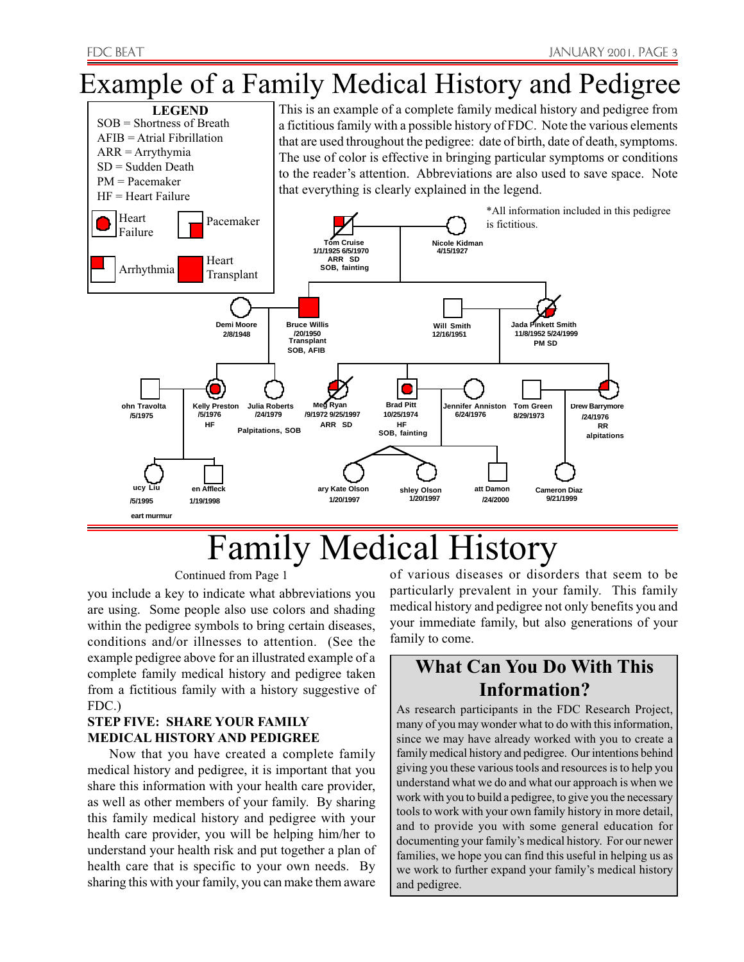# Example of a Family Medical History and Pedigree



# Family Medical History

#### Continued from Page 1

you include a key to indicate what abbreviations you are using. Some people also use colors and shading within the pedigree symbols to bring certain diseases, conditions and/or illnesses to attention. (See the example pedigree above for an illustrated example of a complete family medical history and pedigree taken from a fictitious family with a history suggestive of FDC.)

#### **STEP FIVE: SHARE YOUR FAMILY MEDICAL HISTORY AND PEDIGREE**

Now that you have created a complete family medical history and pedigree, it is important that you share this information with your health care provider, as well as other members of your family. By sharing this family medical history and pedigree with your health care provider, you will be helping him/her to understand your health risk and put together a plan of health care that is specific to your own needs. By sharing this with your family, you can make them aware of various diseases or disorders that seem to be particularly prevalent in your family. This family medical history and pedigree not only benefits you and your immediate family, but also generations of your family to come.

#### **What Can You Do With This Information?**

As research participants in the FDC Research Project, many of you may wonder what to do with this information, since we may have already worked with you to create a family medical history and pedigree. Our intentions behind giving you these various tools and resources is to help you understand what we do and what our approach is when we work with you to build a pedigree, to give you the necessary tools to work with your own family history in more detail, and to provide you with some general education for documenting your family's medical history. For our newer families, we hope you can find this useful in helping us as we work to further expand your family's medical history and pedigree.